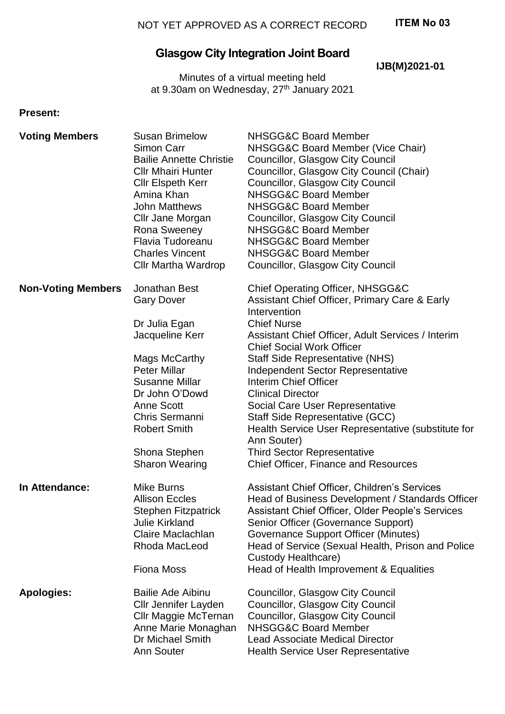## **ITEM No 03**

# **Glasgow City Integration Joint Board**

**IJB(M)2021-01**

Minutes of a virtual meeting held at 9.30am on Wednesday, 27<sup>th</sup> January 2021

#### **Present:**

| <b>Voting Members</b>     | <b>Susan Brimelow</b><br>Simon Carr<br><b>Bailie Annette Christie</b><br><b>CIIr Mhairi Hunter</b><br><b>Cllr Elspeth Kerr</b><br>Amina Khan<br><b>John Matthews</b><br>Cllr Jane Morgan<br>Rona Sweeney<br>Flavia Tudoreanu<br><b>Charles Vincent</b><br><b>Cllr Martha Wardrop</b> | <b>NHSGG&amp;C Board Member</b><br>NHSGG&C Board Member (Vice Chair)<br><b>Councillor, Glasgow City Council</b><br>Councillor, Glasgow City Council (Chair)<br><b>Councillor, Glasgow City Council</b><br><b>NHSGG&amp;C Board Member</b><br><b>NHSGG&amp;C Board Member</b><br>Councillor, Glasgow City Council<br><b>NHSGG&amp;C Board Member</b><br><b>NHSGG&amp;C Board Member</b><br><b>NHSGG&amp;C Board Member</b><br>Councillor, Glasgow City Council           |
|---------------------------|--------------------------------------------------------------------------------------------------------------------------------------------------------------------------------------------------------------------------------------------------------------------------------------|-------------------------------------------------------------------------------------------------------------------------------------------------------------------------------------------------------------------------------------------------------------------------------------------------------------------------------------------------------------------------------------------------------------------------------------------------------------------------|
| <b>Non-Voting Members</b> | Jonathan Best<br><b>Gary Dover</b><br>Dr Julia Egan                                                                                                                                                                                                                                  | <b>Chief Operating Officer, NHSGG&amp;C</b><br>Assistant Chief Officer, Primary Care & Early<br>Intervention<br><b>Chief Nurse</b>                                                                                                                                                                                                                                                                                                                                      |
|                           | Jacqueline Kerr<br>Mags McCarthy<br><b>Peter Millar</b><br>Susanne Millar<br>Dr John O'Dowd<br><b>Anne Scott</b><br>Chris Sermanni<br><b>Robert Smith</b><br>Shona Stephen<br><b>Sharon Wearing</b>                                                                                  | Assistant Chief Officer, Adult Services / Interim<br><b>Chief Social Work Officer</b><br><b>Staff Side Representative (NHS)</b><br><b>Independent Sector Representative</b><br><b>Interim Chief Officer</b><br><b>Clinical Director</b><br>Social Care User Representative<br>Staff Side Representative (GCC)<br>Health Service User Representative (substitute for<br>Ann Souter)<br><b>Third Sector Representative</b><br><b>Chief Officer, Finance and Resources</b> |
| In Attendance:            | <b>Mike Burns</b><br><b>Allison Eccles</b><br><b>Stephen Fitzpatrick</b><br><b>Julie Kirkland</b><br>Claire Maclachlan<br>Rhoda MacLeod<br><b>Fiona Moss</b>                                                                                                                         | Assistant Chief Officer, Children's Services<br>Head of Business Development / Standards Officer<br>Assistant Chief Officer, Older People's Services<br>Senior Officer (Governance Support)<br>Governance Support Officer (Minutes)<br>Head of Service (Sexual Health, Prison and Police<br>Custody Healthcare)<br>Head of Health Improvement & Equalities                                                                                                              |
| <b>Apologies:</b>         | <b>Bailie Ade Aibinu</b><br><b>Cllr Jennifer Layden</b><br>Cllr Maggie McTernan<br>Anne Marie Monaghan<br>Dr Michael Smith<br><b>Ann Souter</b>                                                                                                                                      | <b>Councillor, Glasgow City Council</b><br>Councillor, Glasgow City Council<br>Councillor, Glasgow City Council<br><b>NHSGG&amp;C Board Member</b><br><b>Lead Associate Medical Director</b><br><b>Health Service User Representative</b>                                                                                                                                                                                                                               |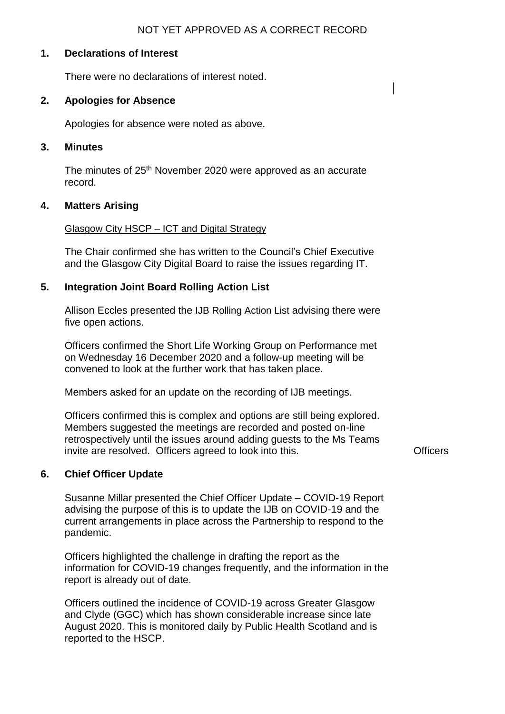#### NOT YET APPROVED AS A CORRECT RECORD

## **1. Declarations of Interest**

There were no declarations of interest noted.

#### **2. Apologies for Absence**

Apologies for absence were noted as above.

## **3. Minutes**

The minutes of 25<sup>th</sup> November 2020 were approved as an accurate record.

#### **4. Matters Arising**

#### Glasgow City HSCP – ICT and Digital Strategy

The Chair confirmed she has written to the Council's Chief Executive and the Glasgow City Digital Board to raise the issues regarding IT.

#### **5. Integration Joint Board Rolling Action List**

Allison Eccles presented the IJB Rolling Action List advising there were five open actions.

Officers confirmed the Short Life Working Group on Performance met on Wednesday 16 December 2020 and a follow-up meeting will be convened to look at the further work that has taken place.

Members asked for an update on the recording of IJB meetings.

Officers confirmed this is complex and options are still being explored. Members suggested the meetings are recorded and posted on-line retrospectively until the issues around adding guests to the Ms Teams invite are resolved. Officers agreed to look into this. The example of the Contracts

#### **6. Chief Officer Update**

Susanne Millar presented the Chief Officer Update – COVID-19 Report advising the purpose of this is to update the IJB on COVID-19 and the current arrangements in place across the Partnership to respond to the pandemic.

Officers highlighted the challenge in drafting the report as the information for COVID-19 changes frequently, and the information in the report is already out of date.

Officers outlined the incidence of COVID-19 across Greater Glasgow and Clyde (GGC) which has shown considerable increase since late August 2020. This is monitored daily by Public Health Scotland and is reported to the HSCP.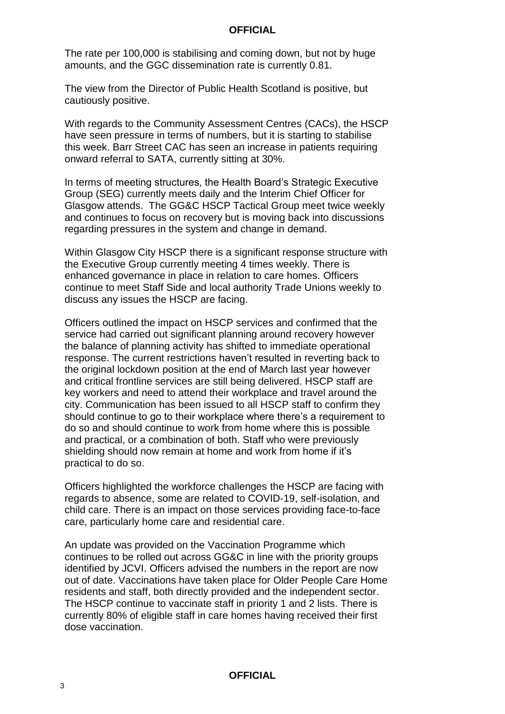The rate per 100,000 is stabilising and coming down, but not by huge amounts, and the GGC dissemination rate is currently 0.81.

The view from the Director of Public Health Scotland is positive, but cautiously positive.

With regards to the Community Assessment Centres (CACs), the HSCP have seen pressure in terms of numbers, but it is starting to stabilise this week. Barr Street CAC has seen an increase in patients requiring onward referral to SATA, currently sitting at 30%.

In terms of meeting structures, the Health Board's Strategic Executive Group (SEG) currently meets daily and the Interim Chief Officer for Glasgow attends. The GG&C HSCP Tactical Group meet twice weekly and continues to focus on recovery but is moving back into discussions regarding pressures in the system and change in demand.

Within Glasgow City HSCP there is a significant response structure with the Executive Group currently meeting 4 times weekly. There is enhanced governance in place in relation to care homes. Officers continue to meet Staff Side and local authority Trade Unions weekly to discuss any issues the HSCP are facing.

Officers outlined the impact on HSCP services and confirmed that the service had carried out significant planning around recovery however the balance of planning activity has shifted to immediate operational response. The current restrictions haven't resulted in reverting back to the original lockdown position at the end of March last year however and critical frontline services are still being delivered. HSCP staff are key workers and need to attend their workplace and travel around the city. Communication has been issued to all HSCP staff to confirm they should continue to go to their workplace where there's a requirement to do so and should continue to work from home where this is possible and practical, or a combination of both. Staff who were previously shielding should now remain at home and work from home if it's practical to do so.

Officers highlighted the workforce challenges the HSCP are facing with regards to absence, some are related to COVID-19, self-isolation, and child care. There is an impact on those services providing face-to-face care, particularly home care and residential care.

An update was provided on the Vaccination Programme which continues to be rolled out across GG&C in line with the priority groups identified by JCVI. Officers advised the numbers in the report are now out of date. Vaccinations have taken place for Older People Care Home residents and staff, both directly provided and the independent sector. The HSCP continue to vaccinate staff in priority 1 and 2 lists. There is currently 80% of eligible staff in care homes having received their first dose vaccination.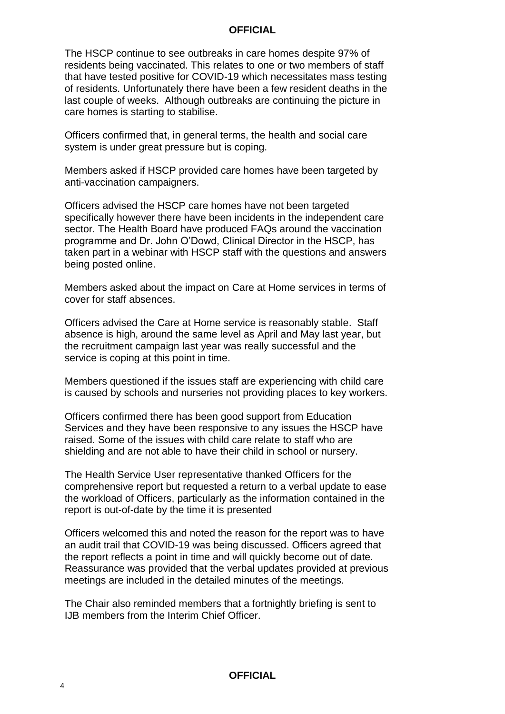The HSCP continue to see outbreaks in care homes despite 97% of residents being vaccinated. This relates to one or two members of staff that have tested positive for COVID-19 which necessitates mass testing of residents. Unfortunately there have been a few resident deaths in the last couple of weeks. Although outbreaks are continuing the picture in care homes is starting to stabilise.

Officers confirmed that, in general terms, the health and social care system is under great pressure but is coping.

Members asked if HSCP provided care homes have been targeted by anti-vaccination campaigners.

Officers advised the HSCP care homes have not been targeted specifically however there have been incidents in the independent care sector. The Health Board have produced FAQs around the vaccination programme and Dr. John O'Dowd, Clinical Director in the HSCP, has taken part in a webinar with HSCP staff with the questions and answers being posted online.

Members asked about the impact on Care at Home services in terms of cover for staff absences.

Officers advised the Care at Home service is reasonably stable. Staff absence is high, around the same level as April and May last year, but the recruitment campaign last year was really successful and the service is coping at this point in time.

Members questioned if the issues staff are experiencing with child care is caused by schools and nurseries not providing places to key workers.

Officers confirmed there has been good support from Education Services and they have been responsive to any issues the HSCP have raised. Some of the issues with child care relate to staff who are shielding and are not able to have their child in school or nursery.

The Health Service User representative thanked Officers for the comprehensive report but requested a return to a verbal update to ease the workload of Officers, particularly as the information contained in the report is out-of-date by the time it is presented

Officers welcomed this and noted the reason for the report was to have an audit trail that COVID-19 was being discussed. Officers agreed that the report reflects a point in time and will quickly become out of date. Reassurance was provided that the verbal updates provided at previous meetings are included in the detailed minutes of the meetings.

The Chair also reminded members that a fortnightly briefing is sent to IJB members from the Interim Chief Officer.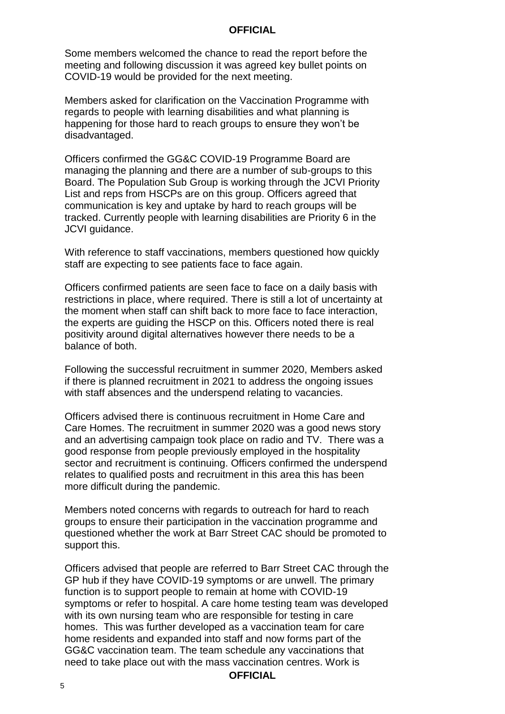Some members welcomed the chance to read the report before the meeting and following discussion it was agreed key bullet points on COVID-19 would be provided for the next meeting.

Members asked for clarification on the Vaccination Programme with regards to people with learning disabilities and what planning is happening for those hard to reach groups to ensure they won't be disadvantaged.

Officers confirmed the GG&C COVID-19 Programme Board are managing the planning and there are a number of sub-groups to this Board. The Population Sub Group is working through the JCVI Priority List and reps from HSCPs are on this group. Officers agreed that communication is key and uptake by hard to reach groups will be tracked. Currently people with learning disabilities are Priority 6 in the JCVI guidance.

With reference to staff vaccinations, members questioned how quickly staff are expecting to see patients face to face again.

Officers confirmed patients are seen face to face on a daily basis with restrictions in place, where required. There is still a lot of uncertainty at the moment when staff can shift back to more face to face interaction, the experts are guiding the HSCP on this. Officers noted there is real positivity around digital alternatives however there needs to be a balance of both.

Following the successful recruitment in summer 2020, Members asked if there is planned recruitment in 2021 to address the ongoing issues with staff absences and the underspend relating to vacancies.

Officers advised there is continuous recruitment in Home Care and Care Homes. The recruitment in summer 2020 was a good news story and an advertising campaign took place on radio and TV. There was a good response from people previously employed in the hospitality sector and recruitment is continuing. Officers confirmed the underspend relates to qualified posts and recruitment in this area this has been more difficult during the pandemic.

Members noted concerns with regards to outreach for hard to reach groups to ensure their participation in the vaccination programme and questioned whether the work at Barr Street CAC should be promoted to support this.

Officers advised that people are referred to Barr Street CAC through the GP hub if they have COVID-19 symptoms or are unwell. The primary function is to support people to remain at home with COVID-19 symptoms or refer to hospital. A care home testing team was developed with its own nursing team who are responsible for testing in care homes. This was further developed as a vaccination team for care home residents and expanded into staff and now forms part of the GG&C vaccination team. The team schedule any vaccinations that need to take place out with the mass vaccination centres. Work is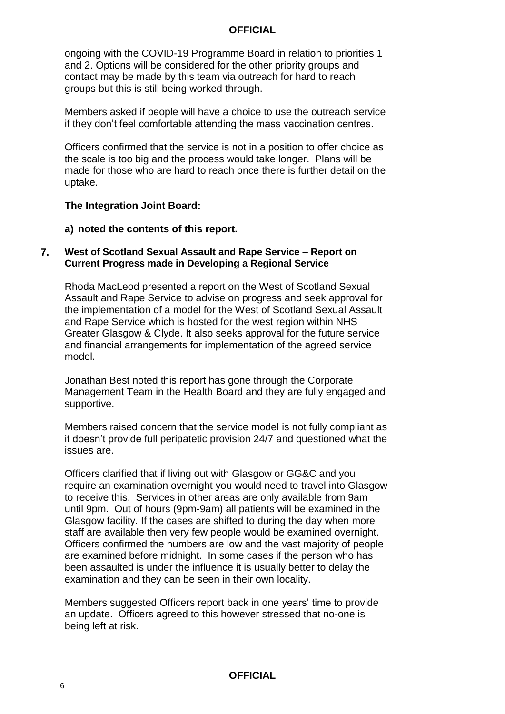ongoing with the COVID-19 Programme Board in relation to priorities 1 and 2. Options will be considered for the other priority groups and contact may be made by this team via outreach for hard to reach groups but this is still being worked through.

Members asked if people will have a choice to use the outreach service if they don't feel comfortable attending the mass vaccination centres.

Officers confirmed that the service is not in a position to offer choice as the scale is too big and the process would take longer. Plans will be made for those who are hard to reach once there is further detail on the uptake.

#### **The Integration Joint Board:**

**a) noted the contents of this report.**

#### **7. West of Scotland Sexual Assault and Rape Service – Report on Current Progress made in Developing a Regional Service**

Rhoda MacLeod presented a report on the West of Scotland Sexual Assault and Rape Service to advise on progress and seek approval for the implementation of a model for the West of Scotland Sexual Assault and Rape Service which is hosted for the west region within NHS Greater Glasgow & Clyde. It also seeks approval for the future service and financial arrangements for implementation of the agreed service model.

Jonathan Best noted this report has gone through the Corporate Management Team in the Health Board and they are fully engaged and supportive.

Members raised concern that the service model is not fully compliant as it doesn't provide full peripatetic provision 24/7 and questioned what the issues are.

Officers clarified that if living out with Glasgow or GG&C and you require an examination overnight you would need to travel into Glasgow to receive this. Services in other areas are only available from 9am until 9pm. Out of hours (9pm-9am) all patients will be examined in the Glasgow facility. If the cases are shifted to during the day when more staff are available then very few people would be examined overnight. Officers confirmed the numbers are low and the vast majority of people are examined before midnight. In some cases if the person who has been assaulted is under the influence it is usually better to delay the examination and they can be seen in their own locality.

Members suggested Officers report back in one years' time to provide an update. Officers agreed to this however stressed that no-one is being left at risk.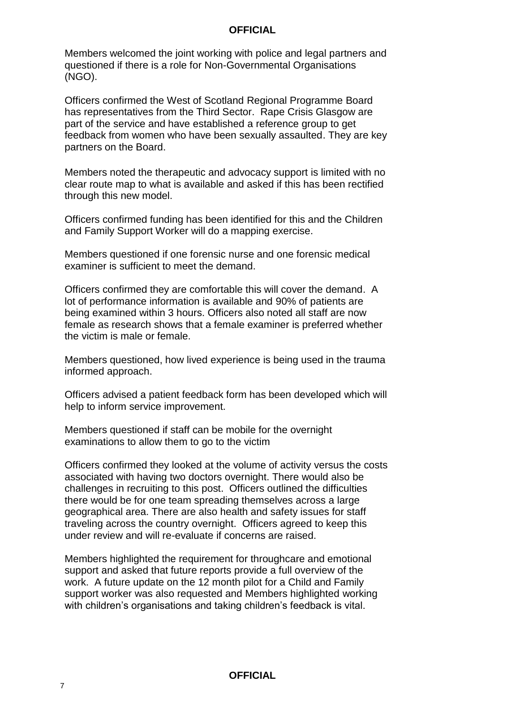Members welcomed the joint working with police and legal partners and questioned if there is a role for Non-Governmental Organisations (NGO).

Officers confirmed the West of Scotland Regional Programme Board has representatives from the Third Sector. Rape Crisis Glasgow are part of the service and have established a reference group to get feedback from women who have been sexually assaulted. They are key partners on the Board.

Members noted the therapeutic and advocacy support is limited with no clear route map to what is available and asked if this has been rectified through this new model.

Officers confirmed funding has been identified for this and the Children and Family Support Worker will do a mapping exercise.

Members questioned if one forensic nurse and one forensic medical examiner is sufficient to meet the demand.

Officers confirmed they are comfortable this will cover the demand. A lot of performance information is available and 90% of patients are being examined within 3 hours. Officers also noted all staff are now female as research shows that a female examiner is preferred whether the victim is male or female.

Members questioned, how lived experience is being used in the trauma informed approach.

Officers advised a patient feedback form has been developed which will help to inform service improvement.

Members questioned if staff can be mobile for the overnight examinations to allow them to go to the victim

Officers confirmed they looked at the volume of activity versus the costs associated with having two doctors overnight. There would also be challenges in recruiting to this post. Officers outlined the difficulties there would be for one team spreading themselves across a large geographical area. There are also health and safety issues for staff traveling across the country overnight. Officers agreed to keep this under review and will re-evaluate if concerns are raised.

Members highlighted the requirement for throughcare and emotional support and asked that future reports provide a full overview of the work. A future update on the 12 month pilot for a Child and Family support worker was also requested and Members highlighted working with children's organisations and taking children's feedback is vital.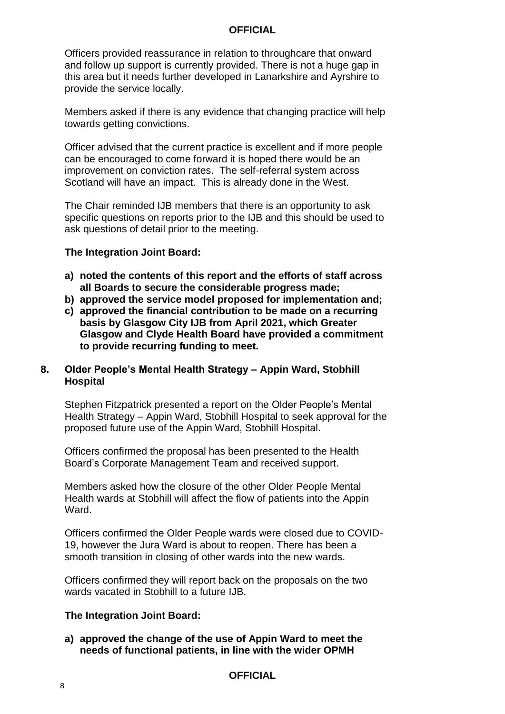Officers provided reassurance in relation to throughcare that onward and follow up support is currently provided. There is not a huge gap in this area but it needs further developed in Lanarkshire and Ayrshire to provide the service locally.

Members asked if there is any evidence that changing practice will help towards getting convictions.

Officer advised that the current practice is excellent and if more people can be encouraged to come forward it is hoped there would be an improvement on conviction rates. The self-referral system across Scotland will have an impact. This is already done in the West.

The Chair reminded IJB members that there is an opportunity to ask specific questions on reports prior to the IJB and this should be used to ask questions of detail prior to the meeting.

#### **The Integration Joint Board:**

- **a) noted the contents of this report and the efforts of staff across all Boards to secure the considerable progress made;**
- **b) approved the service model proposed for implementation and;**
- **c) approved the financial contribution to be made on a recurring basis by Glasgow City IJB from April 2021, which Greater Glasgow and Clyde Health Board have provided a commitment to provide recurring funding to meet.**

## **8. Older People's Mental Health Strategy – Appin Ward, Stobhill Hospital**

Stephen Fitzpatrick presented a report on the Older People's Mental Health Strategy – Appin Ward, Stobhill Hospital to seek approval for the proposed future use of the Appin Ward, Stobhill Hospital.

Officers confirmed the proposal has been presented to the Health Board's Corporate Management Team and received support.

Members asked how the closure of the other Older People Mental Health wards at Stobhill will affect the flow of patients into the Appin **Ward** 

Officers confirmed the Older People wards were closed due to COVID-19, however the Jura Ward is about to reopen. There has been a smooth transition in closing of other wards into the new wards.

Officers confirmed they will report back on the proposals on the two wards vacated in Stobhill to a future IJB.

## **The Integration Joint Board:**

**a) approved the change of the use of Appin Ward to meet the needs of functional patients, in line with the wider OPMH**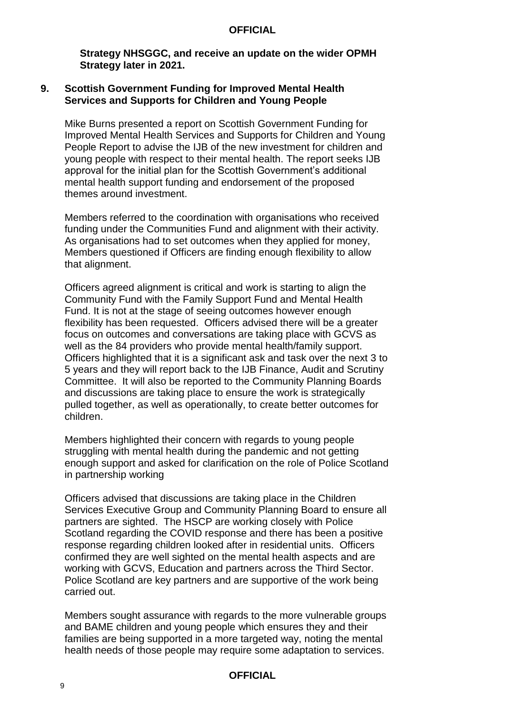**Strategy NHSGGC, and receive an update on the wider OPMH Strategy later in 2021.**

#### **9. Scottish Government Funding for Improved Mental Health Services and Supports for Children and Young People**

Mike Burns presented a report on Scottish Government Funding for Improved Mental Health Services and Supports for Children and Young People Report to advise the IJB of the new investment for children and young people with respect to their mental health. The report seeks IJB approval for the initial plan for the Scottish Government's additional mental health support funding and endorsement of the proposed themes around investment.

Members referred to the coordination with organisations who received funding under the Communities Fund and alignment with their activity. As organisations had to set outcomes when they applied for money, Members questioned if Officers are finding enough flexibility to allow that alignment.

Officers agreed alignment is critical and work is starting to align the Community Fund with the Family Support Fund and Mental Health Fund. It is not at the stage of seeing outcomes however enough flexibility has been requested. Officers advised there will be a greater focus on outcomes and conversations are taking place with GCVS as well as the 84 providers who provide mental health/family support. Officers highlighted that it is a significant ask and task over the next 3 to 5 years and they will report back to the IJB Finance, Audit and Scrutiny Committee. It will also be reported to the Community Planning Boards and discussions are taking place to ensure the work is strategically pulled together, as well as operationally, to create better outcomes for children.

Members highlighted their concern with regards to young people struggling with mental health during the pandemic and not getting enough support and asked for clarification on the role of Police Scotland in partnership working

Officers advised that discussions are taking place in the Children Services Executive Group and Community Planning Board to ensure all partners are sighted. The HSCP are working closely with Police Scotland regarding the COVID response and there has been a positive response regarding children looked after in residential units. Officers confirmed they are well sighted on the mental health aspects and are working with GCVS, Education and partners across the Third Sector. Police Scotland are key partners and are supportive of the work being carried out.

Members sought assurance with regards to the more vulnerable groups and BAME children and young people which ensures they and their families are being supported in a more targeted way, noting the mental health needs of those people may require some adaptation to services.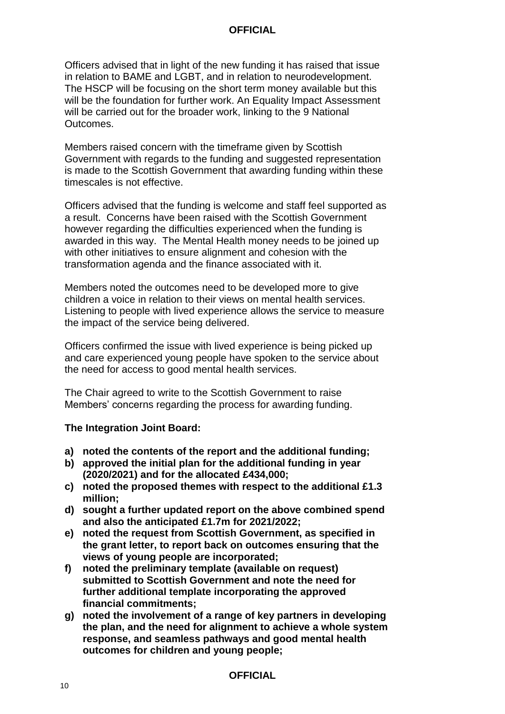Officers advised that in light of the new funding it has raised that issue in relation to BAME and LGBT, and in relation to neurodevelopment. The HSCP will be focusing on the short term money available but this will be the foundation for further work. An Equality Impact Assessment will be carried out for the broader work, linking to the 9 National Outcomes.

Members raised concern with the timeframe given by Scottish Government with regards to the funding and suggested representation is made to the Scottish Government that awarding funding within these timescales is not effective.

Officers advised that the funding is welcome and staff feel supported as a result. Concerns have been raised with the Scottish Government however regarding the difficulties experienced when the funding is awarded in this way. The Mental Health money needs to be joined up with other initiatives to ensure alignment and cohesion with the transformation agenda and the finance associated with it.

Members noted the outcomes need to be developed more to give children a voice in relation to their views on mental health services. Listening to people with lived experience allows the service to measure the impact of the service being delivered.

Officers confirmed the issue with lived experience is being picked up and care experienced young people have spoken to the service about the need for access to good mental health services.

The Chair agreed to write to the Scottish Government to raise Members' concerns regarding the process for awarding funding.

## **The Integration Joint Board:**

- **a) noted the contents of the report and the additional funding;**
- **b) approved the initial plan for the additional funding in year (2020/2021) and for the allocated £434,000;**
- **c) noted the proposed themes with respect to the additional £1.3 million;**
- **d) sought a further updated report on the above combined spend and also the anticipated £1.7m for 2021/2022;**
- **e) noted the request from Scottish Government, as specified in the grant letter, to report back on outcomes ensuring that the views of young people are incorporated;**
- **f) noted the preliminary template (available on request) submitted to Scottish Government and note the need for further additional template incorporating the approved financial commitments;**
- **g) noted the involvement of a range of key partners in developing the plan, and the need for alignment to achieve a whole system response, and seamless pathways and good mental health outcomes for children and young people;**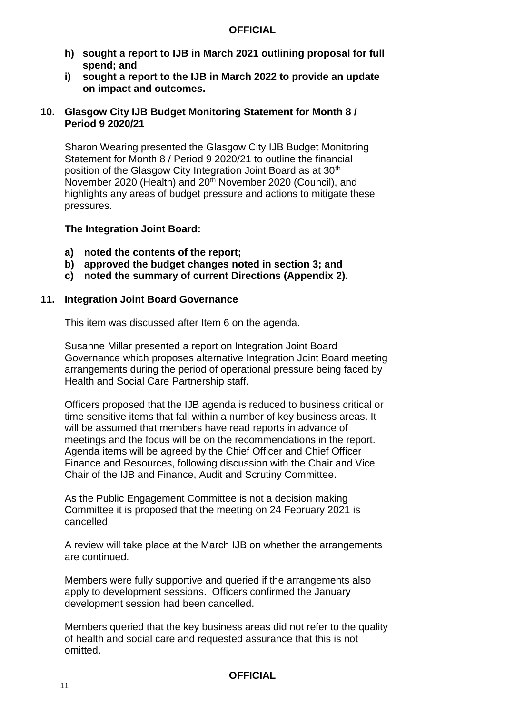- **h) sought a report to IJB in March 2021 outlining proposal for full spend; and**
- **i) sought a report to the IJB in March 2022 to provide an update on impact and outcomes.**

## **10. Glasgow City IJB Budget Monitoring Statement for Month 8 / Period 9 2020/21**

Sharon Wearing presented the Glasgow City IJB Budget Monitoring Statement for Month 8 / Period 9 2020/21 to outline the financial position of the Glasgow City Integration Joint Board as at 30<sup>th</sup> November 2020 (Health) and 20<sup>th</sup> November 2020 (Council), and highlights any areas of budget pressure and actions to mitigate these pressures.

## **The Integration Joint Board:**

- **a) noted the contents of the report;**
- **b) approved the budget changes noted in section 3; and**
- **c) noted the summary of current Directions (Appendix 2).**

## **11. Integration Joint Board Governance**

This item was discussed after Item 6 on the agenda.

Susanne Millar presented a report on Integration Joint Board Governance which proposes alternative Integration Joint Board meeting arrangements during the period of operational pressure being faced by Health and Social Care Partnership staff.

Officers proposed that the IJB agenda is reduced to business critical or time sensitive items that fall within a number of key business areas. It will be assumed that members have read reports in advance of meetings and the focus will be on the recommendations in the report. Agenda items will be agreed by the Chief Officer and Chief Officer Finance and Resources, following discussion with the Chair and Vice Chair of the IJB and Finance, Audit and Scrutiny Committee.

As the Public Engagement Committee is not a decision making Committee it is proposed that the meeting on 24 February 2021 is cancelled.

A review will take place at the March IJB on whether the arrangements are continued.

Members were fully supportive and queried if the arrangements also apply to development sessions. Officers confirmed the January development session had been cancelled.

Members queried that the key business areas did not refer to the quality of health and social care and requested assurance that this is not omitted.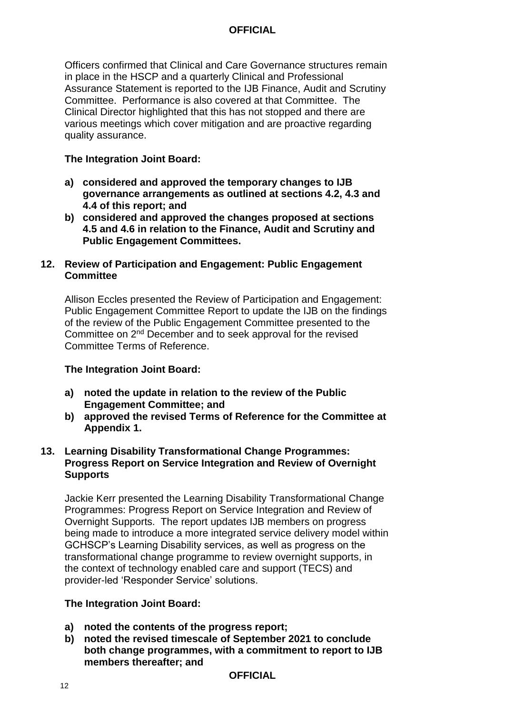Officers confirmed that Clinical and Care Governance structures remain in place in the HSCP and a quarterly Clinical and Professional Assurance Statement is reported to the IJB Finance, Audit and Scrutiny Committee. Performance is also covered at that Committee. The Clinical Director highlighted that this has not stopped and there are various meetings which cover mitigation and are proactive regarding quality assurance.

# **The Integration Joint Board:**

- **a) considered and approved the temporary changes to IJB governance arrangements as outlined at sections 4.2, 4.3 and 4.4 of this report; and**
- **b) considered and approved the changes proposed at sections 4.5 and 4.6 in relation to the Finance, Audit and Scrutiny and Public Engagement Committees.**

# **12. Review of Participation and Engagement: Public Engagement Committee**

Allison Eccles presented the Review of Participation and Engagement: Public Engagement Committee Report to update the IJB on the findings of the review of the Public Engagement Committee presented to the Committee on 2nd December and to seek approval for the revised Committee Terms of Reference.

# **The Integration Joint Board:**

- **a) noted the update in relation to the review of the Public Engagement Committee; and**
- **b) approved the revised Terms of Reference for the Committee at Appendix 1.**

## **13. Learning Disability Transformational Change Programmes: Progress Report on Service Integration and Review of Overnight Supports**

Jackie Kerr presented the Learning Disability Transformational Change Programmes: Progress Report on Service Integration and Review of Overnight Supports. The report updates IJB members on progress being made to introduce a more integrated service delivery model within GCHSCP's Learning Disability services, as well as progress on the transformational change programme to review overnight supports, in the context of technology enabled care and support (TECS) and provider-led 'Responder Service' solutions.

## **The Integration Joint Board:**

- **a) noted the contents of the progress report;**
- **b) noted the revised timescale of September 2021 to conclude both change programmes, with a commitment to report to IJB members thereafter; and**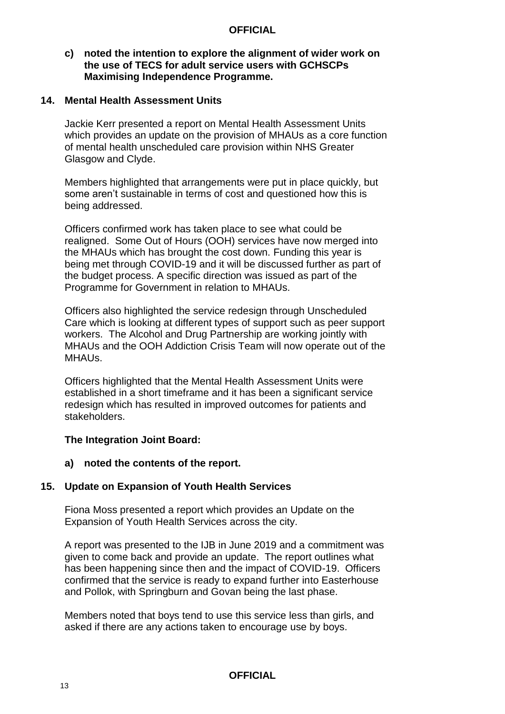#### **c) noted the intention to explore the alignment of wider work on the use of TECS for adult service users with GCHSCPs Maximising Independence Programme.**

#### **14. Mental Health Assessment Units**

Jackie Kerr presented a report on Mental Health Assessment Units which provides an update on the provision of MHAUs as a core function of mental health unscheduled care provision within NHS Greater Glasgow and Clyde.

Members highlighted that arrangements were put in place quickly, but some aren't sustainable in terms of cost and questioned how this is being addressed.

Officers confirmed work has taken place to see what could be realigned. Some Out of Hours (OOH) services have now merged into the MHAUs which has brought the cost down. Funding this year is being met through COVID-19 and it will be discussed further as part of the budget process. A specific direction was issued as part of the Programme for Government in relation to MHAUs.

Officers also highlighted the service redesign through Unscheduled Care which is looking at different types of support such as peer support workers. The Alcohol and Drug Partnership are working jointly with MHAUs and the OOH Addiction Crisis Team will now operate out of the MHAUs.

Officers highlighted that the Mental Health Assessment Units were established in a short timeframe and it has been a significant service redesign which has resulted in improved outcomes for patients and stakeholders.

## **The Integration Joint Board:**

#### **a) noted the contents of the report.**

## **15. Update on Expansion of Youth Health Services**

Fiona Moss presented a report which provides an Update on the Expansion of Youth Health Services across the city.

A report was presented to the IJB in June 2019 and a commitment was given to come back and provide an update. The report outlines what has been happening since then and the impact of COVID-19. Officers confirmed that the service is ready to expand further into Easterhouse and Pollok, with Springburn and Govan being the last phase.

Members noted that boys tend to use this service less than girls, and asked if there are any actions taken to encourage use by boys.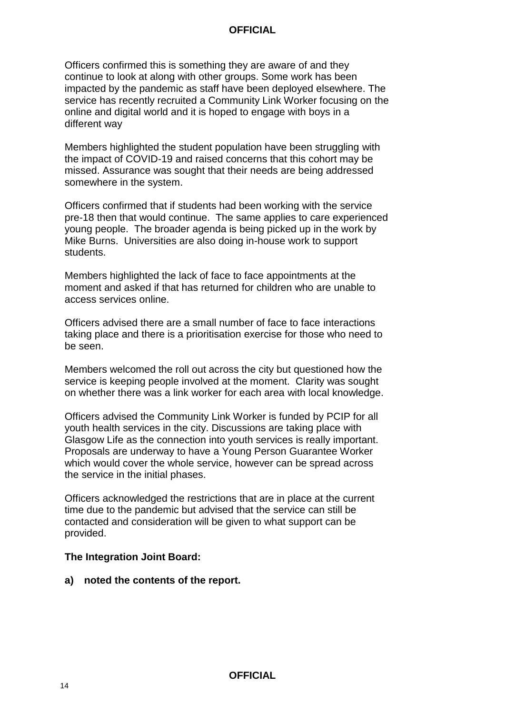Officers confirmed this is something they are aware of and they continue to look at along with other groups. Some work has been impacted by the pandemic as staff have been deployed elsewhere. The service has recently recruited a Community Link Worker focusing on the online and digital world and it is hoped to engage with boys in a different way

Members highlighted the student population have been struggling with the impact of COVID-19 and raised concerns that this cohort may be missed. Assurance was sought that their needs are being addressed somewhere in the system.

Officers confirmed that if students had been working with the service pre-18 then that would continue. The same applies to care experienced young people. The broader agenda is being picked up in the work by Mike Burns. Universities are also doing in-house work to support students.

Members highlighted the lack of face to face appointments at the moment and asked if that has returned for children who are unable to access services online.

Officers advised there are a small number of face to face interactions taking place and there is a prioritisation exercise for those who need to be seen.

Members welcomed the roll out across the city but questioned how the service is keeping people involved at the moment. Clarity was sought on whether there was a link worker for each area with local knowledge.

Officers advised the Community Link Worker is funded by PCIP for all youth health services in the city. Discussions are taking place with Glasgow Life as the connection into youth services is really important. Proposals are underway to have a Young Person Guarantee Worker which would cover the whole service, however can be spread across the service in the initial phases.

Officers acknowledged the restrictions that are in place at the current time due to the pandemic but advised that the service can still be contacted and consideration will be given to what support can be provided.

## **The Integration Joint Board:**

**a) noted the contents of the report.**